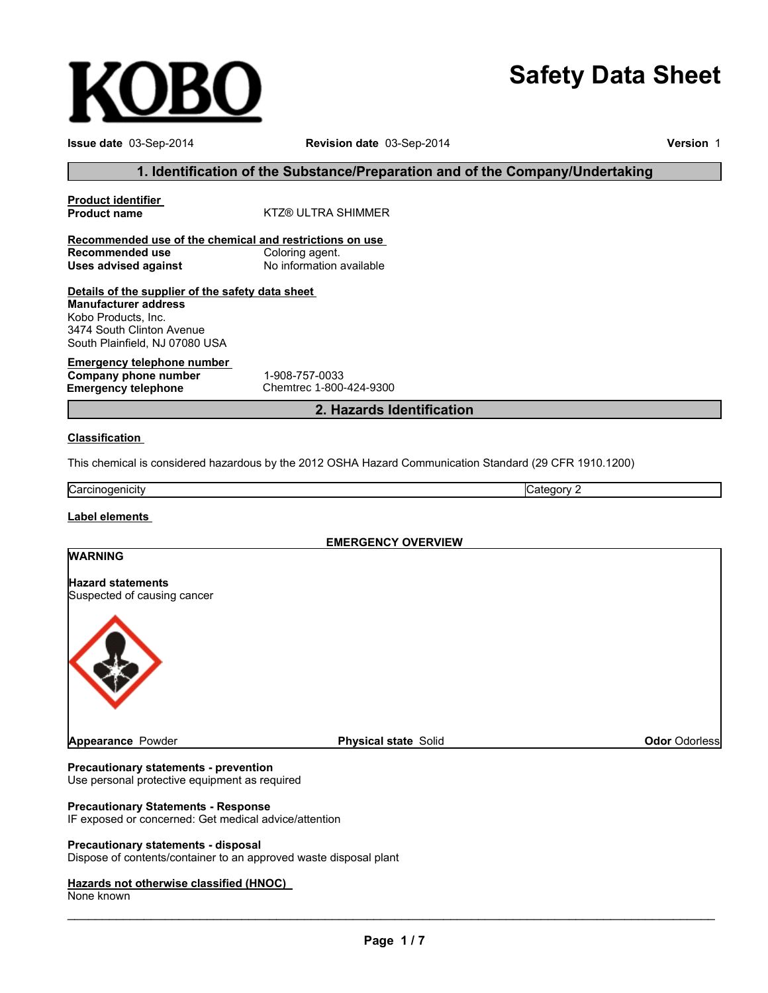# **Safety Data Sheet**

| Issue date 03-Sep-2014                                                                                            | Revision date 03-Sep-2014                                                                               |                      |  |
|-------------------------------------------------------------------------------------------------------------------|---------------------------------------------------------------------------------------------------------|----------------------|--|
|                                                                                                                   | 1. Identification of the Substance/Preparation and of the Company/Undertaking                           |                      |  |
| <b>Product identifier</b><br><b>Product name</b>                                                                  | <b>KTZ® ULTRA SHIMMER</b>                                                                               |                      |  |
| Recommended use of the chemical and restrictions on use                                                           |                                                                                                         |                      |  |
| <b>Recommended use</b><br><b>Uses advised against</b>                                                             | Coloring agent.<br>No information available                                                             |                      |  |
| Details of the supplier of the safety data sheet                                                                  |                                                                                                         |                      |  |
| <b>Manufacturer address</b><br>Kobo Products, Inc.<br>3474 South Clinton Avenue<br>South Plainfield, NJ 07080 USA |                                                                                                         |                      |  |
| <b>Emergency telephone number</b><br>Company phone number<br><b>Emergency telephone</b>                           | 1-908-757-0033<br>Chemtrec 1-800-424-9300                                                               |                      |  |
|                                                                                                                   | 2. Hazards Identification                                                                               |                      |  |
| <b>Classification</b>                                                                                             |                                                                                                         |                      |  |
|                                                                                                                   | This chemical is considered hazardous by the 2012 OSHA Hazard Communication Standard (29 CFR 1910.1200) |                      |  |
| Carcinogenicity                                                                                                   | Category 2                                                                                              |                      |  |
| Label elements                                                                                                    |                                                                                                         |                      |  |
|                                                                                                                   | <b>EMERGENCY OVERVIEW</b>                                                                               |                      |  |
| <b>WARNING</b>                                                                                                    |                                                                                                         |                      |  |
| <b>Hazard statements</b><br>Suspected of causing cancer                                                           |                                                                                                         |                      |  |
|                                                                                                                   |                                                                                                         |                      |  |
| <b>Appearance Powder</b>                                                                                          | <b>Physical state Solid</b>                                                                             | <b>Odor Odorless</b> |  |

**Precautionary statements - prevention** Use personal protective equipment as required

#### **Precautionary Statements - Response**

**KOBO** 

IF exposed or concerned: Get medical advice/attention

#### **Precautionary statements - disposal**

Dispose of contents/container to an approved waste disposal plant

#### **Hazards not otherwise classified (HNOC)**

None known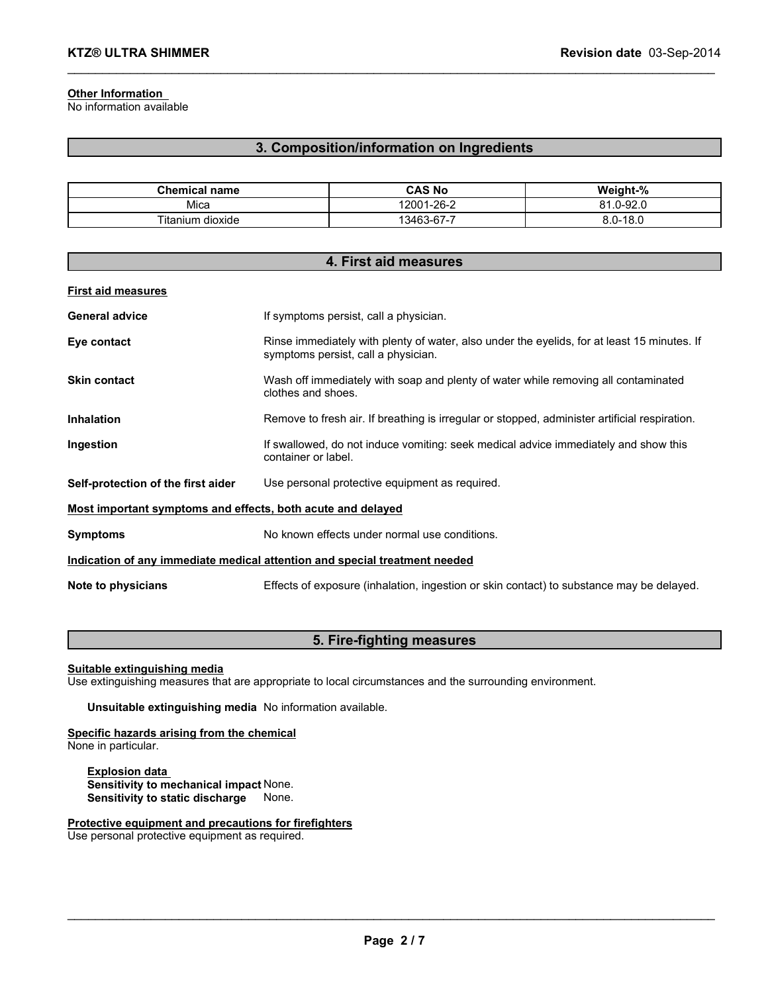#### **Other Information**

No information available

#### **3. Composition/information on Ingredients**

\_\_\_\_\_\_\_\_\_\_\_\_\_\_\_\_\_\_\_\_\_\_\_\_\_\_\_\_\_\_\_\_\_\_\_\_\_\_\_\_\_\_\_\_\_\_\_\_\_\_\_\_\_\_\_\_\_\_\_\_\_\_\_\_\_\_\_\_\_\_\_\_\_\_\_\_\_\_\_\_\_\_\_\_\_\_\_\_\_\_\_\_\_

| <b>Chemical name</b> | CAS No     | Weight-%                 |
|----------------------|------------|--------------------------|
| Mica                 | 12001-26-2 | $.0 - 92.0$<br>04<br>n i |
| Fitanium dioxide     | 13463-67-7 | $8.0 - 18.0$             |

| 4. First aid measures                                                             |                                                                                                                                    |  |
|-----------------------------------------------------------------------------------|------------------------------------------------------------------------------------------------------------------------------------|--|
| <b>First aid measures</b>                                                         |                                                                                                                                    |  |
| <b>General advice</b>                                                             | If symptoms persist, call a physician.                                                                                             |  |
| Eye contact                                                                       | Rinse immediately with plenty of water, also under the eyelids, for at least 15 minutes. If<br>symptoms persist, call a physician. |  |
| <b>Skin contact</b>                                                               | Wash off immediately with soap and plenty of water while removing all contaminated<br>clothes and shoes.                           |  |
| <b>Inhalation</b>                                                                 | Remove to fresh air. If breathing is irregular or stopped, administer artificial respiration.                                      |  |
| Ingestion                                                                         | If swallowed, do not induce vomiting: seek medical advice immediately and show this<br>container or label.                         |  |
| Self-protection of the first aider                                                | Use personal protective equipment as required.                                                                                     |  |
| Most important symptoms and effects, both acute and delayed                       |                                                                                                                                    |  |
| <b>Symptoms</b>                                                                   | No known effects under normal use conditions.                                                                                      |  |
| <u>Indication of any immediate medical attention and special treatment needed</u> |                                                                                                                                    |  |
| Note to physicians                                                                | Effects of exposure (inhalation, ingestion or skin contact) to substance may be delayed.                                           |  |

#### **5. Fire-fighting measures**

**Suitable extinguishing media**

Use extinguishing measures that are appropriate to local circumstances and the surrounding environment.

**Unsuitable extinguishing media** No information available.

**Specific hazards arising from the chemical** None in particular.

**Explosion data Sensitivity to mechanical impact** None. **Sensitivity to static discharge** None.

**Protective equipment and precautions for firefighters**

Use personal protective equipment as required.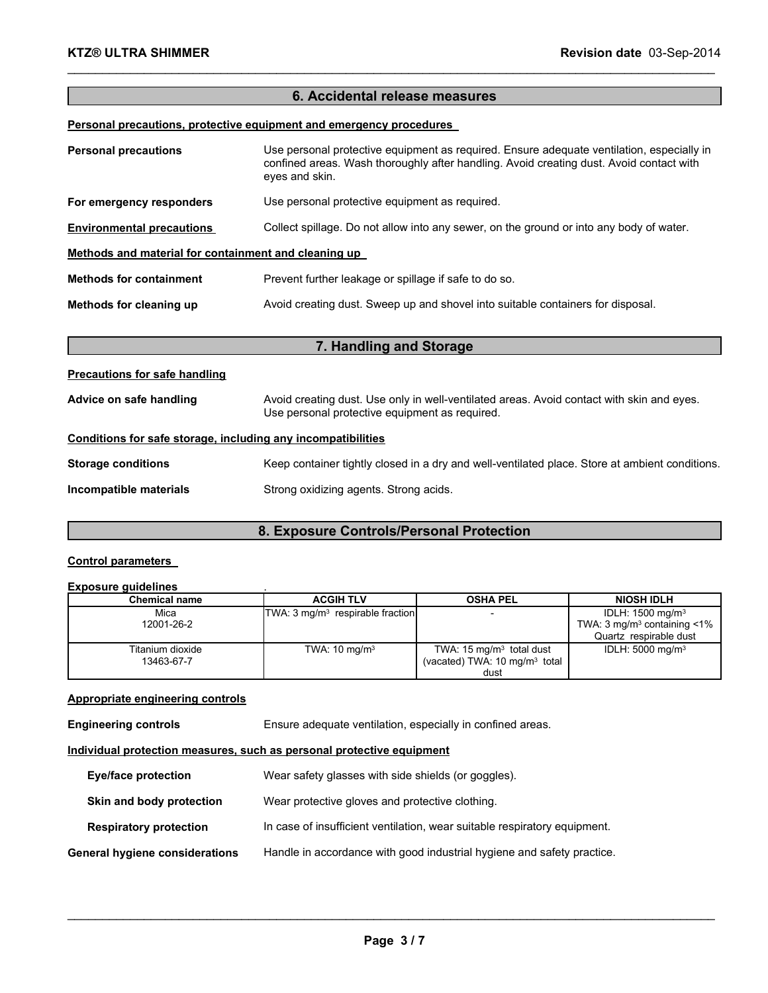#### **6. Accidental release measures**

\_\_\_\_\_\_\_\_\_\_\_\_\_\_\_\_\_\_\_\_\_\_\_\_\_\_\_\_\_\_\_\_\_\_\_\_\_\_\_\_\_\_\_\_\_\_\_\_\_\_\_\_\_\_\_\_\_\_\_\_\_\_\_\_\_\_\_\_\_\_\_\_\_\_\_\_\_\_\_\_\_\_\_\_\_\_\_\_\_\_\_\_\_

#### **Personal precautions, protective equipment and emergency procedures**

| <b>Personal precautions</b>                          | Use personal protective equipment as required. Ensure adequate ventilation, especially in<br>confined areas. Wash thoroughly after handling. Avoid creating dust. Avoid contact with<br>eyes and skin. |  |
|------------------------------------------------------|--------------------------------------------------------------------------------------------------------------------------------------------------------------------------------------------------------|--|
| For emergency responders                             | Use personal protective equipment as required.                                                                                                                                                         |  |
| <b>Environmental precautions</b>                     | Collect spillage. Do not allow into any sewer, on the ground or into any body of water.                                                                                                                |  |
| Methods and material for containment and cleaning up |                                                                                                                                                                                                        |  |
| <b>Methods for containment</b>                       | Prevent further leakage or spillage if safe to do so.                                                                                                                                                  |  |
| Methods for cleaning up                              | Avoid creating dust. Sweep up and shovel into suitable containers for disposal.                                                                                                                        |  |

#### **7. Handling and Storage**

## **Precautions for safe handling** Advice on safe handling **Avoid creating dust. Use only in well-ventilated areas. Avoid contact with skin and eyes.** Use personal protective equipment as required. **Conditions for safe storage, including any incompatibilities Storage conditions** Keep container tightly closed in a dry and well-ventilated place. Store at ambient conditions. **Incompatible materials** Strong oxidizing agents. Strong acids.

#### **8. Exposure Controls/Personal Protection**

#### **Control parameters**

#### **Exposure guidelines** .

| <b>Chemical name</b> | <b>ACGIH TLV</b>                            | <b>OSHA PEL</b>                          | <b>NIOSH IDLH</b>                            |
|----------------------|---------------------------------------------|------------------------------------------|----------------------------------------------|
| Mica                 | TWA: $3 \text{ mg/m}^3$ respirable fraction |                                          | IDLH: 1500 mg/m <sup>3</sup>                 |
| 12001-26-2           |                                             |                                          | TWA: $3 \text{ mg/m}^3$ containing $\lt 1\%$ |
|                      |                                             |                                          | Quartz respirable dust                       |
| Titanium dioxide     | TWA: $10 \text{ mg/m}^3$                    | TWA: $15 \text{ mg/m}^3$ total dust      | IDLH: $5000 \text{ mg/m}^3$                  |
| 13463-67-7           |                                             | (vacated) TWA: $10 \text{ mg/m}^3$ total |                                              |
|                      |                                             | dust                                     |                                              |

#### **Appropriate engineering controls**

**Engineering controls** Ensure adequate ventilation, especially in confined areas.

#### **Individual protection measures, such as personal protective equipment**

| <b>Eye/face protection</b>     | Wear safety glasses with side shields (or goggles).                       |
|--------------------------------|---------------------------------------------------------------------------|
| Skin and body protection       | Wear protective gloves and protective clothing.                           |
| <b>Respiratory protection</b>  | In case of insufficient ventilation, wear suitable respiratory equipment. |
| General hygiene considerations | Handle in accordance with good industrial hygiene and safety practice.    |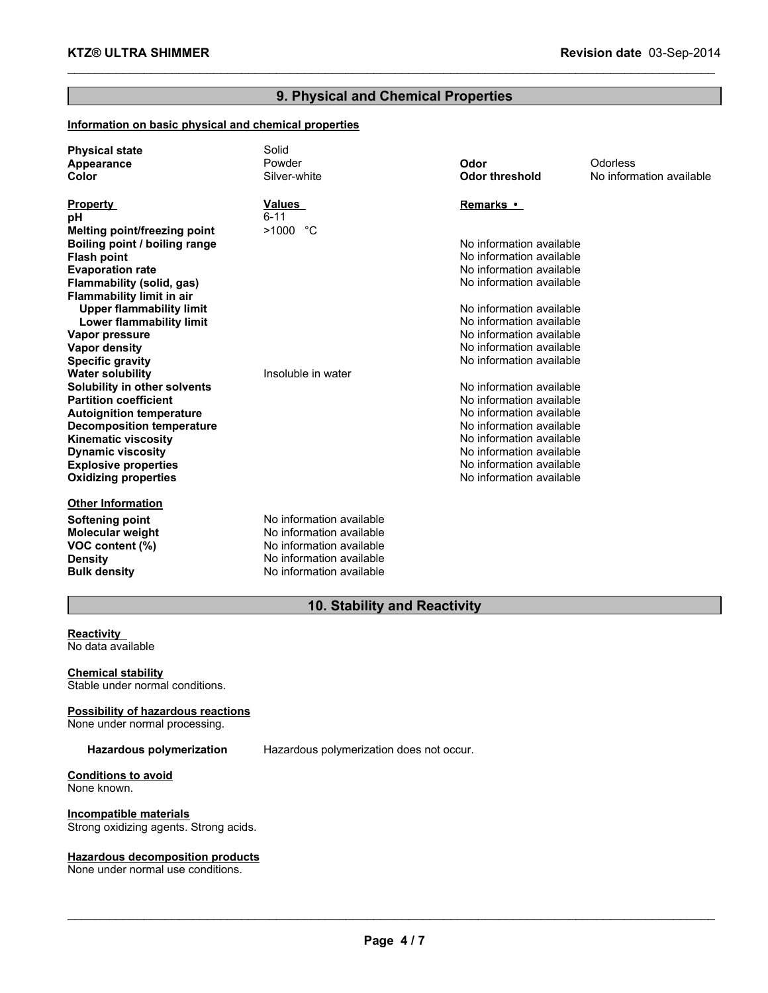#### **9. Physical and Chemical Properties**

\_\_\_\_\_\_\_\_\_\_\_\_\_\_\_\_\_\_\_\_\_\_\_\_\_\_\_\_\_\_\_\_\_\_\_\_\_\_\_\_\_\_\_\_\_\_\_\_\_\_\_\_\_\_\_\_\_\_\_\_\_\_\_\_\_\_\_\_\_\_\_\_\_\_\_\_\_\_\_\_\_\_\_\_\_\_\_\_\_\_\_\_\_

#### **Information on basic physical and chemical properties**

| <b>Physical state</b><br>Appearance<br>Color | Solid<br>Powder<br>Silver-white | Odor<br><b>Odor threshold</b> | Odorless<br>No information available |
|----------------------------------------------|---------------------------------|-------------------------------|--------------------------------------|
| <b>Property</b>                              | <b>Values</b>                   | Remarks •                     |                                      |
| pН                                           | $6 - 11$                        |                               |                                      |
| Melting point/freezing point                 | >1000 °C                        |                               |                                      |
| Boiling point / boiling range                |                                 | No information available      |                                      |
| <b>Flash point</b>                           |                                 | No information available      |                                      |
| <b>Evaporation rate</b>                      |                                 | No information available      |                                      |
| Flammability (solid, gas)                    |                                 | No information available      |                                      |
| <b>Flammability limit in air</b>             |                                 |                               |                                      |
| <b>Upper flammability limit</b>              |                                 | No information available      |                                      |
| Lower flammability limit                     |                                 | No information available      |                                      |
| Vapor pressure                               |                                 | No information available      |                                      |
| <b>Vapor density</b>                         |                                 | No information available      |                                      |
| <b>Specific gravity</b>                      |                                 | No information available      |                                      |
| <b>Water solubility</b>                      | Insoluble in water              |                               |                                      |
| Solubility in other solvents                 |                                 | No information available      |                                      |
| <b>Partition coefficient</b>                 |                                 | No information available      |                                      |
| <b>Autoignition temperature</b>              |                                 | No information available      |                                      |
| <b>Decomposition temperature</b>             |                                 | No information available      |                                      |
| Kinematic viscosity                          |                                 | No information available      |                                      |
| <b>Dynamic viscosity</b>                     |                                 | No information available      |                                      |
| <b>Explosive properties</b>                  |                                 | No information available      |                                      |
| <b>Oxidizing properties</b>                  |                                 | No information available      |                                      |
| <b>Other Information</b>                     |                                 |                               |                                      |
| Softening point                              | No information available        |                               |                                      |
| <b>Molecular weight</b>                      | No information available        |                               |                                      |
| VOC content (%)                              | No information available        |                               |                                      |
| <b>Density</b>                               | No information available        |                               |                                      |
| <b>Bulk density</b>                          | No information available        |                               |                                      |

#### **10. Stability and Reactivity**

#### **Reactivity** No data available

**Chemical stability** Stable under normal conditions.

#### **Possibility of hazardous reactions**

None under normal processing.

**Hazardous polymerization** Hazardous polymerization does not occur.

#### **Conditions to avoid** None known.

**Incompatible materials** Strong oxidizing agents. Strong acids.

#### **Hazardous decomposition products**

None under normal use conditions.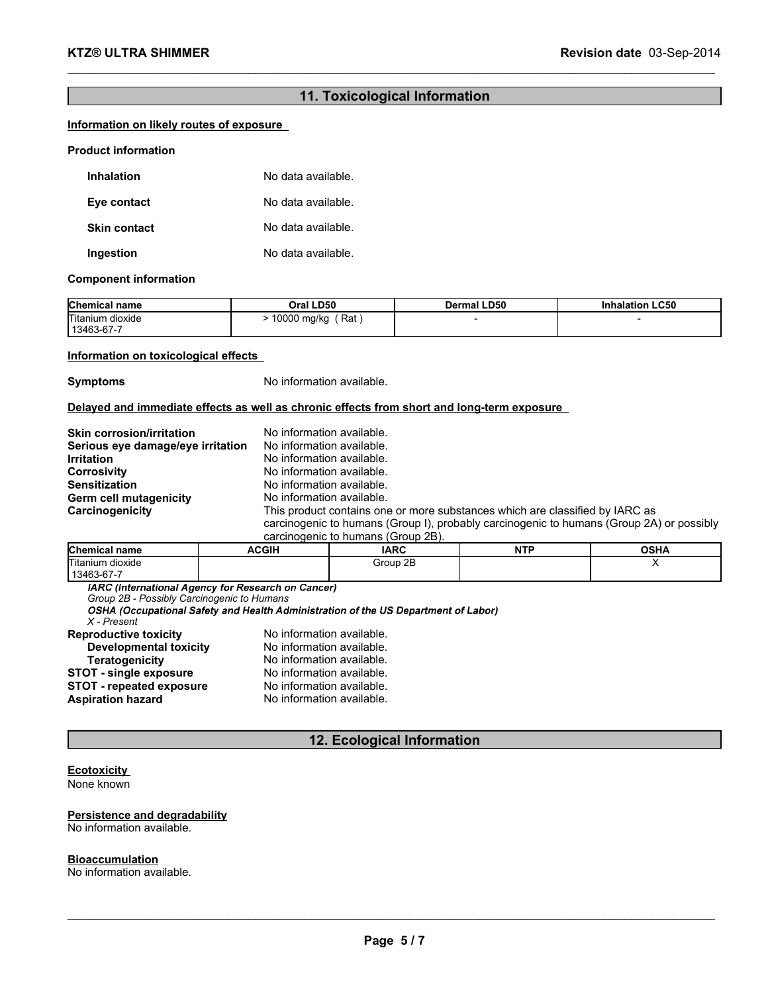#### **11. Toxicological Information**

\_\_\_\_\_\_\_\_\_\_\_\_\_\_\_\_\_\_\_\_\_\_\_\_\_\_\_\_\_\_\_\_\_\_\_\_\_\_\_\_\_\_\_\_\_\_\_\_\_\_\_\_\_\_\_\_\_\_\_\_\_\_\_\_\_\_\_\_\_\_\_\_\_\_\_\_\_\_\_\_\_\_\_\_\_\_\_\_\_\_\_\_\_

#### **Information on likely routes of exposure**

#### **Product information**

| <b>Inhalation</b>   | No data available. |
|---------------------|--------------------|
| Eye contact         | No data available. |
| <b>Skin contact</b> | No data available. |
| Ingestion           | No data available. |

#### **Component information**

| <b>Chemical name</b>           | Oral LD50          | <b>Dermal LD50</b> | <b>LC50</b><br><b>Inhalation</b> |
|--------------------------------|--------------------|--------------------|----------------------------------|
| Titanium dioxide<br>13463-67-7 | 10000 mg/kg<br>Rat |                    |                                  |

#### **Information on toxicological effects**

**Symptoms** No information available.

#### **Delayed and immediate effects as well as chronic effects from short and long-term exposure**

| <b>Skin corrosion/irritation</b>  | No information available.                                                                |
|-----------------------------------|------------------------------------------------------------------------------------------|
| Serious eye damage/eye irritation | No information available.                                                                |
| <b>Irritation</b>                 | No information available.                                                                |
| <b>Corrosivity</b>                | No information available.                                                                |
| <b>Sensitization</b>              | No information available.                                                                |
| Germ cell mutagenicity            | No information available.                                                                |
| Carcinogenicity                   | This product contains one or more substances which are classified by IARC as             |
|                                   | carcinogenic to humans (Group I), probably carcinogenic to humans (Group 2A) or possibly |
|                                   | agroinagania to bumana (Croup 2P)                                                        |

| carcinogenic to numaris (Group ZD). |       |             |            |             |
|-------------------------------------|-------|-------------|------------|-------------|
| <b>Chemical name</b>                | ACGIH | <b>IARC</b> | <b>NTP</b> | <b>OSHA</b> |
| Titanium dioxide                    |       | Group 2B    |            |             |
| 13463-67-7                          |       |             |            |             |

*Group 2B - Possibly Carcinogenic to Humans*

| X - Present            |                           |
|------------------------|---------------------------|
| Reproductive toxicity  | No information available. |
| Developmental toxicity | No information available. |

| Teratogenicity           | No information available. |
|--------------------------|---------------------------|
| STOT - single exposure   | No information available. |
| STOT - repeated exposure | No information available. |
| Aspiration hazard        | No information available. |
|                          |                           |

#### **12. Ecological Information**

#### **Ecotoxicity**

None known

### **Persistence and degradability**

No information available.

#### **Bioaccumulation**

No information available.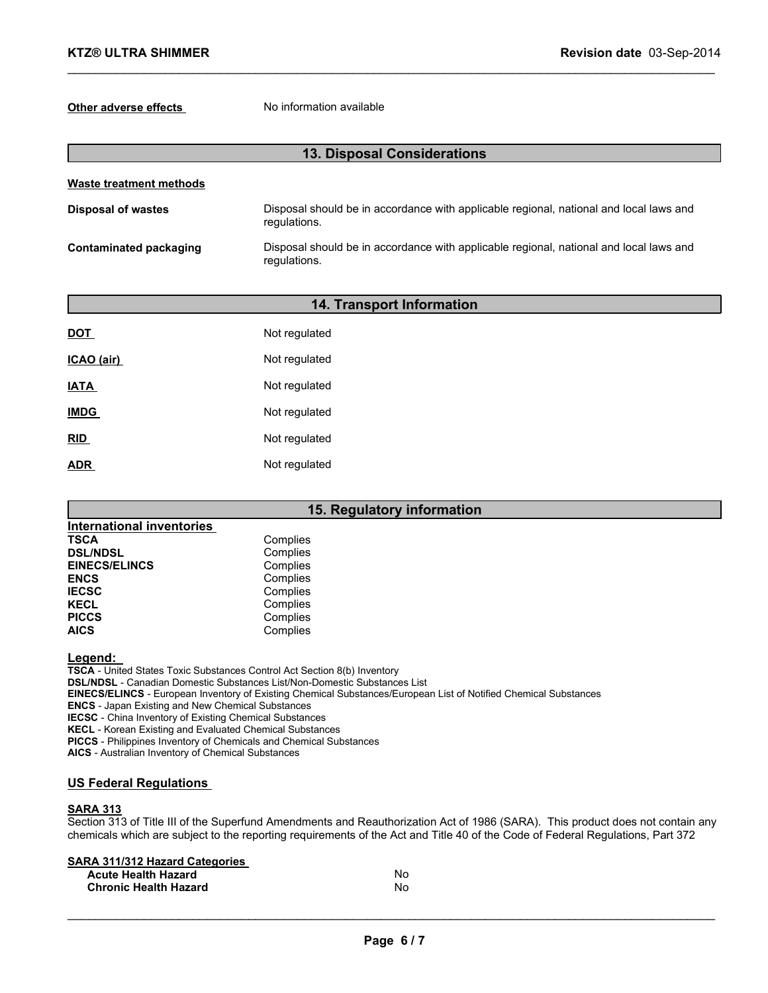#### **Other adverse effects** No information available

| <b>13. Disposal Considerations</b> |                                                                                                        |  |
|------------------------------------|--------------------------------------------------------------------------------------------------------|--|
| Waste treatment methods            |                                                                                                        |  |
| <b>Disposal of wastes</b>          | Disposal should be in accordance with applicable regional, national and local laws and<br>regulations. |  |
| Contaminated packaging             | Disposal should be in accordance with applicable regional, national and local laws and<br>regulations. |  |

\_\_\_\_\_\_\_\_\_\_\_\_\_\_\_\_\_\_\_\_\_\_\_\_\_\_\_\_\_\_\_\_\_\_\_\_\_\_\_\_\_\_\_\_\_\_\_\_\_\_\_\_\_\_\_\_\_\_\_\_\_\_\_\_\_\_\_\_\_\_\_\_\_\_\_\_\_\_\_\_\_\_\_\_\_\_\_\_\_\_\_\_\_

|             | 14. Transport Information |  |  |
|-------------|---------------------------|--|--|
| <u>DOT</u>  | Not regulated             |  |  |
| ICAO (air)  | Not regulated             |  |  |
| <b>IATA</b> | Not regulated             |  |  |
| <b>IMDG</b> | Not regulated             |  |  |
| <u>RID</u>  | Not regulated             |  |  |
| <u>ADR</u>  | Not regulated             |  |  |

### **15. Regulatory information**

| <b>International inventories</b> |          |
|----------------------------------|----------|
| <b>TSCA</b>                      | Complies |
| <b>DSL/NDSL</b>                  | Complies |
| <b>EINECS/ELINCS</b>             | Complies |
| <b>ENCS</b>                      | Complies |
| <b>IECSC</b>                     | Complies |
| <b>KECL</b>                      | Complies |
| <b>PICCS</b>                     | Complies |
| <b>AICS</b>                      | Complies |

#### **Legend:**

**TSCA** - United States Toxic Substances Control Act Section 8(b) Inventory **DSL/NDSL** - Canadian Domestic Substances List/Non-Domestic Substances List **EINECS/ELINCS** - European Inventory of Existing Chemical Substances/European List of Notified Chemical Substances **ENCS** - Japan Existing and New Chemical Substances **IECSC** - China Inventory of Existing Chemical Substances **KECL** - Korean Existing and Evaluated Chemical Substances **PICCS** - Philippines Inventory of Chemicals and Chemical Substances **AICS** - Australian Inventory of Chemical Substances

#### **US Federal Regulations**

#### **SARA 313**

Section 313 of Title III of the Superfund Amendments and Reauthorization Act of 1986 (SARA). This product does not contain any chemicals which are subject to the reporting requirements of the Act and Title 40 of the Code of Federal Regulations, Part 372

#### **SARA 311/312 Hazard Categories**

| <b>Acute Health Hazard</b>   | N٥ |
|------------------------------|----|
| <b>Chronic Health Hazard</b> | N٥ |

 $\_$  . The contribution of the contribution of the contribution of the contribution of the contribution of the contribution of the contribution of the contribution of the contribution of the contribution of the contributio